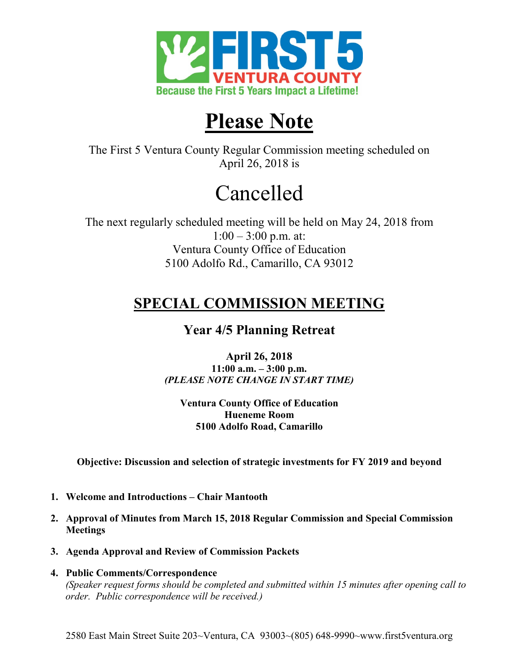

## **Please Note**

The First 5 Ventura County Regular Commission meeting scheduled on April 26, 2018 is

# Cancelled

The next regularly scheduled meeting will be held on May 24, 2018 from  $1:00 - 3:00$  p.m. at: Ventura County Office of Education 5100 Adolfo Rd., Camarillo, CA 93012

### **SPECIAL COMMISSION MEETING**

### **Year 4/5 Planning Retreat**

**April 26, 2018 11:00 a.m. – 3:00 p.m.** *(PLEASE NOTE CHANGE IN START TIME)*

**Ventura County Office of Education Hueneme Room 5100 Adolfo Road, Camarillo**

**Objective: Discussion and selection of strategic investments for FY 2019 and beyond**

- **1. Welcome and Introductions Chair Mantooth**
- **2. Approval of Minutes from March 15, 2018 Regular Commission and Special Commission Meetings**
- **3. Agenda Approval and Review of Commission Packets**
- **4. Public Comments/Correspondence** *(Speaker request forms should be completed and submitted within 15 minutes after opening call to order. Public correspondence will be received.)*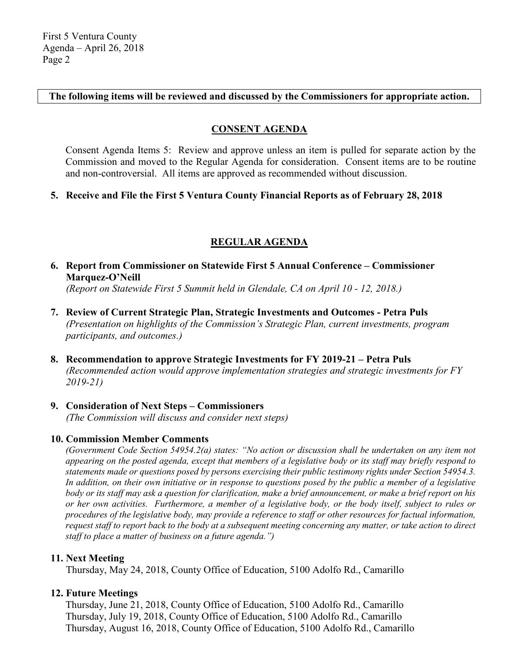**The following items will be reviewed and discussed by the Commissioners for appropriate action.**

#### **CONSENT AGENDA**

Consent Agenda Items 5: Review and approve unless an item is pulled for separate action by the Commission and moved to the Regular Agenda for consideration. Consent items are to be routine and non-controversial. All items are approved as recommended without discussion.

#### **5. Receive and File the First 5 Ventura County Financial Reports as of February 28, 2018**

#### **REGULAR AGENDA**

**6. Report from Commissioner on Statewide First 5 Annual Conference – Commissioner Marquez-O'Neill**

*(Report on Statewide First 5 Summit held in Glendale, CA on April 10 - 12, 2018.)*

- **7. Review of Current Strategic Plan, Strategic Investments and Outcomes Petra Puls** *(Presentation on highlights of the Commission's Strategic Plan, current investments, program participants, and outcomes.)*
- **8. Recommendation to approve Strategic Investments for FY 2019-21 Petra Puls** *(Recommended action would approve implementation strategies and strategic investments for FY 2019-21)*

#### **9. Consideration of Next Steps – Commissioners**

*(The Commission will discuss and consider next steps)*

#### **10. Commission Member Comments**

*(Government Code Section 54954.2(a) states: "No action or discussion shall be undertaken on any item not appearing on the posted agenda, except that members of a legislative body or its staff may briefly respond to statements made or questions posed by persons exercising their public testimony rights under Section 54954.3. In addition, on their own initiative or in response to questions posed by the public a member of a legislative body or its staff may ask a question for clarification, make a brief announcement, or make a brief report on his or her own activities. Furthermore, a member of a legislative body, or the body itself, subject to rules or procedures of the legislative body, may provide a reference to staff or other resources for factual information, request staff to report back to the body at a subsequent meeting concerning any matter, or take action to direct staff to place a matter of business on a future agenda.")*

#### **11. Next Meeting**

Thursday, May 24, 2018, County Office of Education, 5100 Adolfo Rd., Camarillo

#### **12. Future Meetings**

Thursday, June 21, 2018, County Office of Education, 5100 Adolfo Rd., Camarillo Thursday, July 19, 2018, County Office of Education, 5100 Adolfo Rd., Camarillo Thursday, August 16, 2018, County Office of Education, 5100 Adolfo Rd., Camarillo